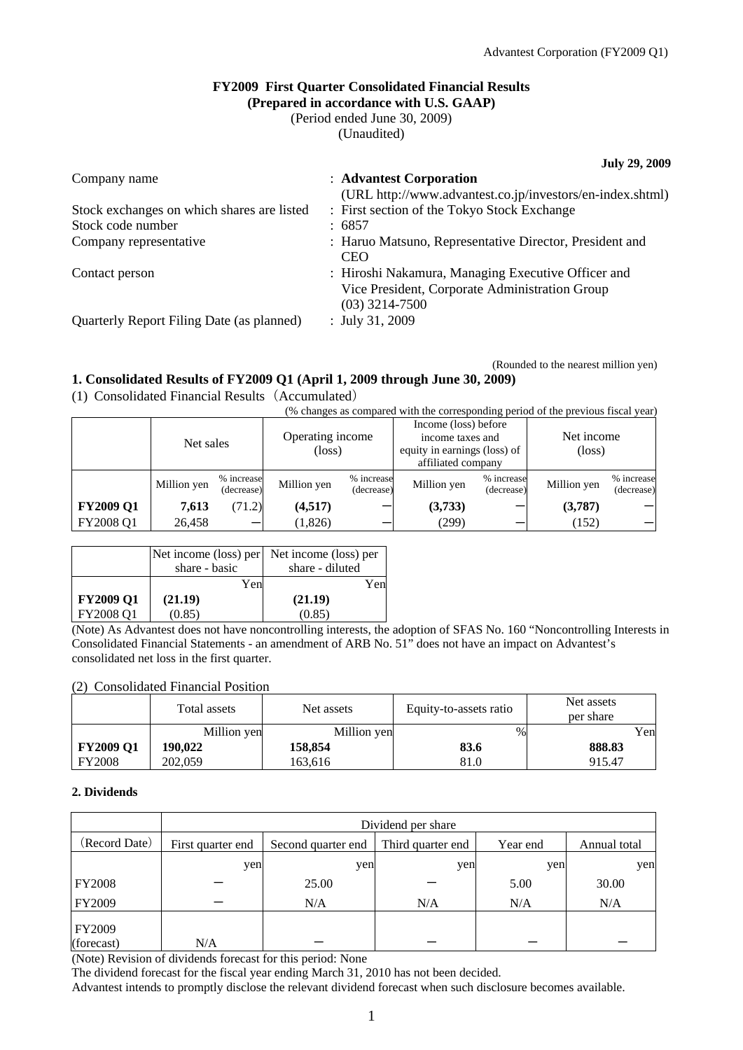### **FY2009 First Quarter Consolidated Financial Results (Prepared in accordance with U.S. GAAP)**

(Period ended June 30, 2009)

(Unaudited)

**July 29, 2009**  Company name : **Advantest Corporation** (URL http://www.advantest.co.jp/investors/en-index.shtml) Stock exchanges on which shares are listed : First section of the Tokyo Stock Exchange Stock code number : 6857 Company representative : Haruo Matsuno, Representative Director, President and **CEO** Contact person : Hiroshi Nakamura, Managing Executive Officer and Vice President, Corporate Administration Group (03) 3214-7500 Quarterly Report Filing Date (as planned) : July 31, 2009

(Rounded to the nearest million yen)

 $($  changes as compared with the corresponding period of the previous fiscal year)

# **1. Consolidated Results of FY2009 Q1 (April 1, 2009 through June 30, 2009)**

(1) Consolidated Financial Results(Accumulated)

|                  | (%) changes as compared with the corresponding period of the previous riscal year) |                          |                            |                          |                              |                          |                               |                          |
|------------------|------------------------------------------------------------------------------------|--------------------------|----------------------------|--------------------------|------------------------------|--------------------------|-------------------------------|--------------------------|
|                  | Net sales                                                                          |                          | Operating income<br>(loss) |                          | Income (loss) before         |                          |                               |                          |
|                  |                                                                                    |                          |                            |                          | income taxes and             |                          | Net income<br>$(\text{loss})$ |                          |
|                  |                                                                                    |                          |                            |                          | equity in earnings (loss) of |                          |                               |                          |
|                  |                                                                                    |                          |                            |                          | affiliated company           |                          |                               |                          |
|                  | Million yen                                                                        | % increase<br>(decrease) | Million yen                | % increase<br>(decrease) | Million yen                  | % increase<br>(decrease) | Million yen                   | % increase<br>(decrease) |
| <b>FY2009 Q1</b> | 7,613                                                                              | (71.2)                   | (4,517)                    |                          | (3,733)                      |                          | (3,787)                       |                          |
| FY2008 Q1        | 26,458                                                                             |                          | (1,826)                    |                          | (299)                        |                          | (152)                         |                          |

| Yen                                    |     |
|----------------------------------------|-----|
|                                        | Yen |
| <b>FY2009 Q1</b><br>(21.19)<br>(21.19) |     |
| FY2008 Q1<br>(0.85)<br>(0.85)          |     |

(Note) As Advantest does not have noncontrolling interests, the adoption of SFAS No. 160 "Noncontrolling Interests in Consolidated Financial Statements - an amendment of ARB No. 51" does not have an impact on Advantest's consolidated net loss in the first quarter.

# (2) Consolidated Financial Position

|                  | Total assets | Net assets  | Equity-to-assets ratio | Net assets<br>per share |
|------------------|--------------|-------------|------------------------|-------------------------|
|                  | Million yen  | Million yen | $\%$                   | Yen                     |
| <b>FY2009 Q1</b> | 190.022      | 158,854     | 83.6                   | 888.83                  |
| <b>FY2008</b>    | 202,059      | 163.616     | 81.0                   | 915.47                  |

#### **2. Dividends**

|                             | Dividend per share |                    |                   |          |              |
|-----------------------------|--------------------|--------------------|-------------------|----------|--------------|
| (Record Date)               | First quarter end  | Second quarter end | Third quarter end | Year end | Annual total |
|                             | yen                | yen                | yen               | yen      | yen          |
| <b>FY2008</b>               |                    | 25.00              |                   | 5.00     | 30.00        |
| FY2009                      |                    | N/A                | N/A               | N/A      | N/A          |
| <b>FY2009</b><br>(forecast) | N/A                |                    |                   |          |              |

(Note) Revision of dividends forecast for this period: None

The dividend forecast for the fiscal year ending March 31, 2010 has not been decided.

Advantest intends to promptly disclose the relevant dividend forecast when such disclosure becomes available.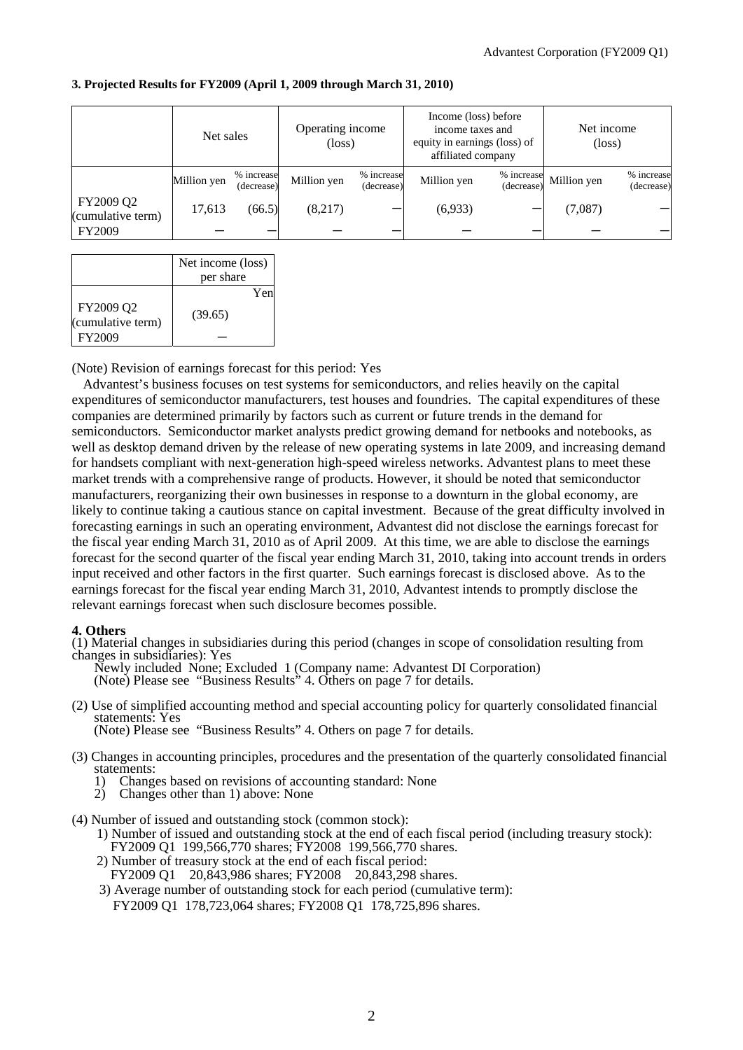|  | 3. Projected Results for FY2009 (April 1, 2009 through March 31, 2010) |  |  |  |
|--|------------------------------------------------------------------------|--|--|--|
|  |                                                                        |  |  |  |

|                                | Net sales   |                          | Operating income<br>$(\text{loss})$ |                          | Income (loss) before<br>income taxes and<br>equity in earnings (loss) of<br>affiliated company |                          | Net income<br>$(\text{loss})$ |                          |
|--------------------------------|-------------|--------------------------|-------------------------------------|--------------------------|------------------------------------------------------------------------------------------------|--------------------------|-------------------------------|--------------------------|
|                                | Million yen | % increase<br>(decrease) | Million yen                         | % increase<br>(decrease) | Million yen                                                                                    | % increase<br>(decrease) | Million yen                   | % increase<br>(decrease) |
| FY2009 Q2<br>(cumulative term) | 17,613      | (66.5)                   | (8,217)                             |                          | (6,933)                                                                                        |                          | (7,087)                       |                          |
| FY2009                         |             |                          |                                     |                          |                                                                                                |                          |                               |                          |

|                                          | Net income (loss)<br>per share |
|------------------------------------------|--------------------------------|
| FY2009 Q2<br>(cumulative term)<br>FY2009 | Yen<br>(39.65)                 |

(Note) Revision of earnings forecast for this period: Yes

Advantest's business focuses on test systems for semiconductors, and relies heavily on the capital expenditures of semiconductor manufacturers, test houses and foundries. The capital expenditures of these companies are determined primarily by factors such as current or future trends in the demand for semiconductors. Semiconductor market analysts predict growing demand for netbooks and notebooks, as well as desktop demand driven by the release of new operating systems in late 2009, and increasing demand for handsets compliant with next-generation high-speed wireless networks. Advantest plans to meet these market trends with a comprehensive range of products. However, it should be noted that semiconductor manufacturers, reorganizing their own businesses in response to a downturn in the global economy, are likely to continue taking a cautious stance on capital investment. Because of the great difficulty involved in forecasting earnings in such an operating environment, Advantest did not disclose the earnings forecast for the fiscal year ending March 31, 2010 as of April 2009. At this time, we are able to disclose the earnings forecast for the second quarter of the fiscal year ending March 31, 2010, taking into account trends in orders input received and other factors in the first quarter. Such earnings forecast is disclosed above. As to the earnings forecast for the fiscal year ending March 31, 2010, Advantest intends to promptly disclose the relevant earnings forecast when such disclosure becomes possible.

#### **4. Others**

(1) Material changes in subsidiaries during this period (changes in scope of consolidation resulting from changes in subsidiaries): Yes

Newly included None; Excluded 1 (Company name: Advantest DI Corporation) (Note) Please see "Business Results" 4. Others on page 7 for details.

(2) Use of simplified accounting method and special accounting policy for quarterly consolidated financial statements: Yes (Note) Please see "Business Results" 4. Others on page 7 for details.

- (3) Changes in accounting principles, procedures and the presentation of the quarterly consolidated financial statements:
	- 1) Changes based on revisions of accounting standard: None
	- 2) Changes other than 1) above: None
- (4) Number of issued and outstanding stock (common stock):
	- 1) Number of issued and outstanding stock at the end of each fiscal period (including treasury stock): FY2009 Q1 199,566,770 shares; FY2008 199,566,770 shares.
	- 2) Number of treasury stock at the end of each fiscal period:
		- FY2009 Q1 20,843,986 shares; FY2008 20,843,298 shares.
	- 3) Average number of outstanding stock for each period (cumulative term): FY2009 Q1 178,723,064 shares; FY2008 Q1 178,725,896 shares.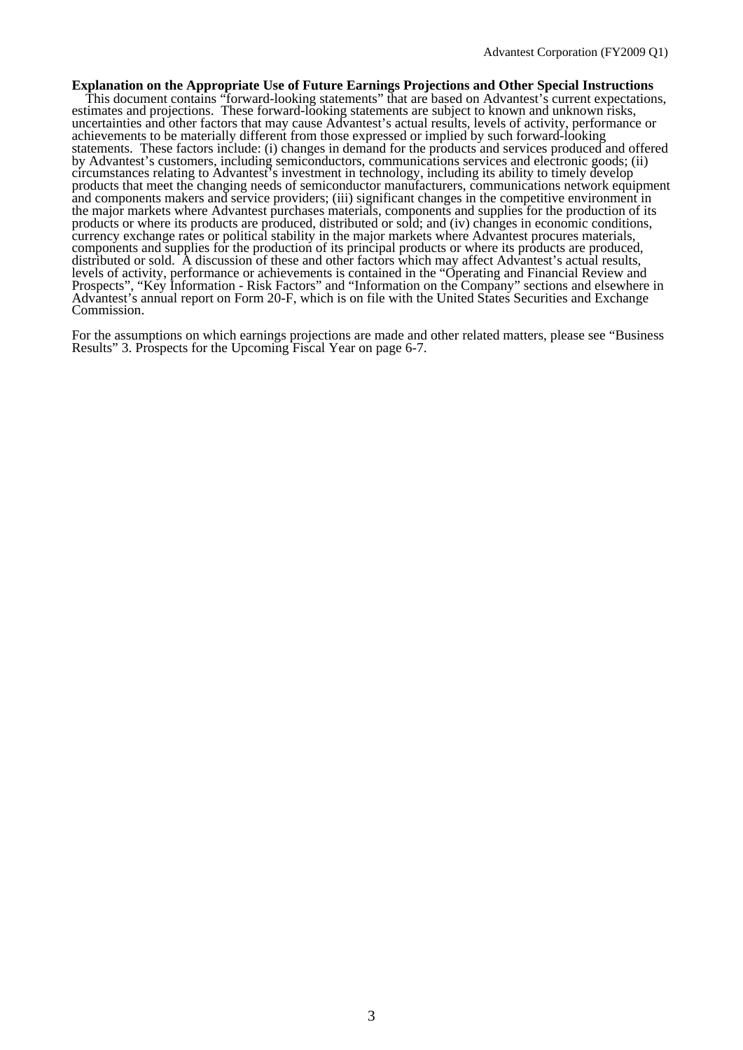**Explanation on the Appropriate Use of Future Earnings Projections and Other Special Instructions**  This document contains "forward-looking statements" that are based on Advantest's current expectations, estimates and projections. These forward-looking statements are subject to known and unknown risks, uncertainties and other factors that may cause Advantest's actual results, levels of activity, performance or achievements to be materially different from those expressed or implied by such forward-looking statements. These factors include: (i) changes in demand for the products and services produced and offered by Advantest's customers, including semiconductors, communications services and electronic goods; (ii) circumstances relating to Advantest's investment in technology, including its ability to timely develop products that meet the changing needs of semiconductor manufacturers, communications network equipment and components makers and service providers; (iii) significant changes in the competitive environment in the major markets where Advantest purchases materials, components and supplies for the production of its products or where its products are produced, distributed or sold; and (iv) changes in economic conditions, currency exchange rates or political stability in the major markets where Advantest procures materials, components and supplies for the production of its principal products or where its products are produced, distributed or sold. A discussion of these and other factors which may affect Advantest's actual results, levels of activity, performance or achievements is contained in the "Operating and Financial Review and Prospects", "Key Information - Risk Factors" and "Information on the Company" sections and elsewhere in Advantest's annual report on Form 20-F, which is on file with the United States Securities and Exchange Commission.

For the assumptions on which earnings projections are made and other related matters, please see "Business Results" 3. Prospects for the Upcoming Fiscal Year on page 6-7.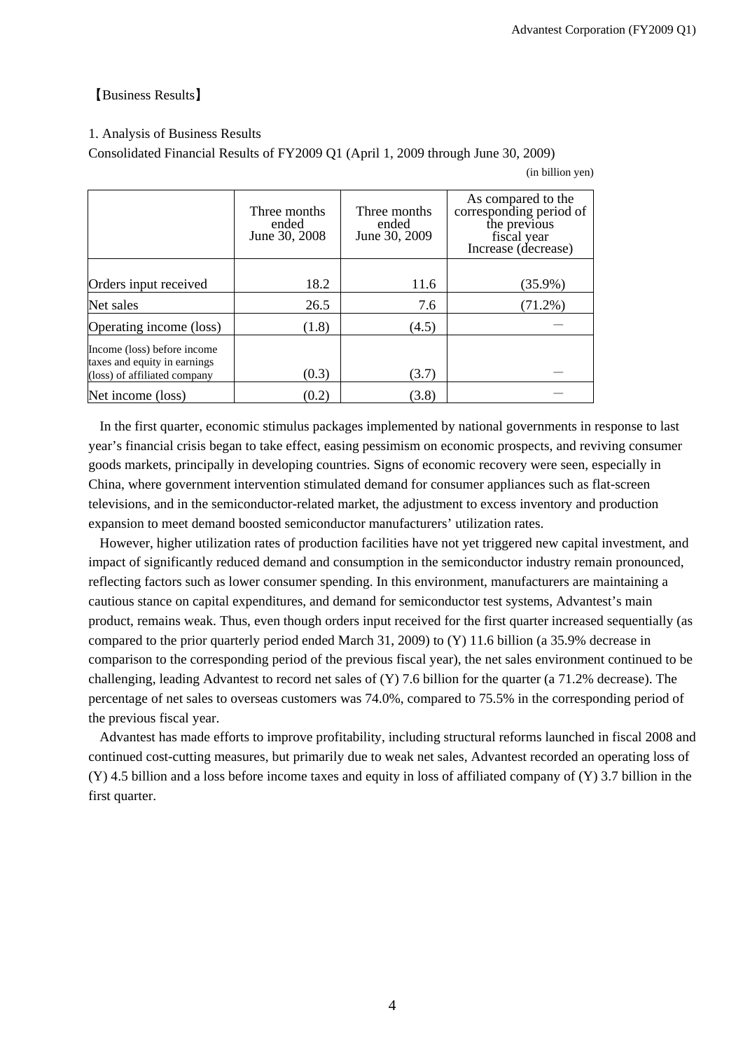# 【Business Results】

### 1. Analysis of Business Results

Consolidated Financial Results of FY2009 Q1 (April 1, 2009 through June 30, 2009)

(in billion yen)

|                                                                                             | Three months<br>ended<br>June 30, 2008 | Three months<br>ended<br>June 30, 2009 | As compared to the<br>corresponding period of<br>the previous<br>fiscal year<br>Increase (decrease) |
|---------------------------------------------------------------------------------------------|----------------------------------------|----------------------------------------|-----------------------------------------------------------------------------------------------------|
| Orders input received                                                                       | 18.2                                   | 11.6                                   | $(35.9\%)$                                                                                          |
| Net sales                                                                                   | 26.5                                   | 7.6                                    | $(71.2\%)$                                                                                          |
| Operating income (loss)                                                                     | (1.8)                                  | (4.5)                                  |                                                                                                     |
| Income (loss) before income<br>taxes and equity in earnings<br>(loss) of affiliated company | (0.3)                                  | (3.7)                                  |                                                                                                     |
| Net income (loss)                                                                           | (0.2)                                  | (3.8)                                  |                                                                                                     |

In the first quarter, economic stimulus packages implemented by national governments in response to last year's financial crisis began to take effect, easing pessimism on economic prospects, and reviving consumer goods markets, principally in developing countries. Signs of economic recovery were seen, especially in China, where government intervention stimulated demand for consumer appliances such as flat-screen televisions, and in the semiconductor-related market, the adjustment to excess inventory and production expansion to meet demand boosted semiconductor manufacturers' utilization rates.

However, higher utilization rates of production facilities have not yet triggered new capital investment, and impact of significantly reduced demand and consumption in the semiconductor industry remain pronounced, reflecting factors such as lower consumer spending. In this environment, manufacturers are maintaining a cautious stance on capital expenditures, and demand for semiconductor test systems, Advantest's main product, remains weak. Thus, even though orders input received for the first quarter increased sequentially (as compared to the prior quarterly period ended March 31, 2009) to (Y) 11.6 billion (a 35.9% decrease in comparison to the corresponding period of the previous fiscal year), the net sales environment continued to be challenging, leading Advantest to record net sales of (Y) 7.6 billion for the quarter (a 71.2% decrease). The percentage of net sales to overseas customers was 74.0%, compared to 75.5% in the corresponding period of the previous fiscal year.

Advantest has made efforts to improve profitability, including structural reforms launched in fiscal 2008 and continued cost-cutting measures, but primarily due to weak net sales, Advantest recorded an operating loss of  $(Y)$  4.5 billion and a loss before income taxes and equity in loss of affiliated company of  $(Y)$  3.7 billion in the first quarter.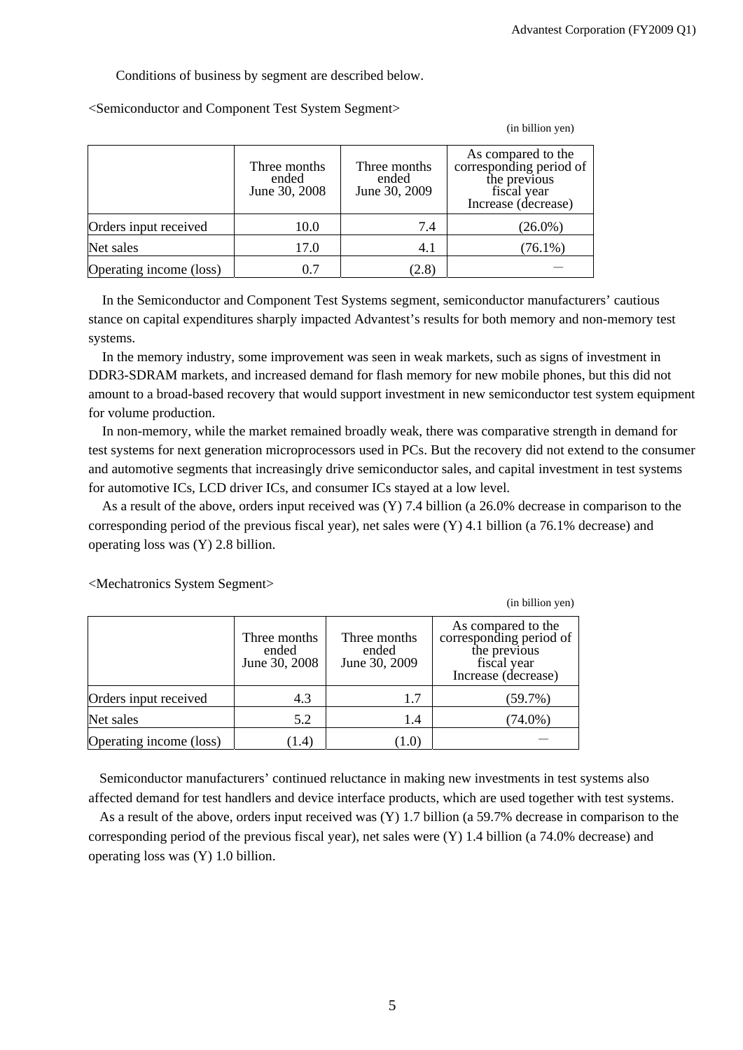(in billion yen)

(in billion yen)

Conditions of business by segment are described below.

<Semiconductor and Component Test System Segment>

|                         | Three months<br>ended<br>June 30, 2008 | Three months<br>ended<br>June 30, 2009 | As compared to the<br>corresponding period of<br>the previous<br>fiscal year<br>Increase (decrease) |
|-------------------------|----------------------------------------|----------------------------------------|-----------------------------------------------------------------------------------------------------|
| Orders input received   | 10.0                                   | 7.4                                    | $(26.0\%)$                                                                                          |
| Net sales               | 17.0                                   | 4.1                                    | $(76.1\%)$                                                                                          |
| Operating income (loss) | 0.7                                    | (2.8)                                  |                                                                                                     |

In the Semiconductor and Component Test Systems segment, semiconductor manufacturers' cautious stance on capital expenditures sharply impacted Advantest's results for both memory and non-memory test systems.

In the memory industry, some improvement was seen in weak markets, such as signs of investment in DDR3-SDRAM markets, and increased demand for flash memory for new mobile phones, but this did not amount to a broad-based recovery that would support investment in new semiconductor test system equipment for volume production.

In non-memory, while the market remained broadly weak, there was comparative strength in demand for test systems for next generation microprocessors used in PCs. But the recovery did not extend to the consumer and automotive segments that increasingly drive semiconductor sales, and capital investment in test systems for automotive ICs, LCD driver ICs, and consumer ICs stayed at a low level.

As a result of the above, orders input received was (Y) 7.4 billion (a 26.0% decrease in comparison to the corresponding period of the previous fiscal year), net sales were (Y) 4.1 billion (a 76.1% decrease) and operating loss was (Y) 2.8 billion.

|                         | Three months<br>ended<br>June 30, 2008 | Three months<br>ended<br>June 30, 2009 | As compared to the<br>corresponding period of<br>the previous<br>fiscal year<br>Increase (decrease) |
|-------------------------|----------------------------------------|----------------------------------------|-----------------------------------------------------------------------------------------------------|
| Orders input received   | 4.3                                    | 1.7                                    | (59.7%)                                                                                             |
| Net sales               | 5.2                                    | 1.4                                    | $(74.0\%)$                                                                                          |
| Operating income (loss) | [1.4]                                  | [ J.U                                  |                                                                                                     |

<Mechatronics System Segment>

Semiconductor manufacturers' continued reluctance in making new investments in test systems also affected demand for test handlers and device interface products, which are used together with test systems.

As a result of the above, orders input received was (Y) 1.7 billion (a 59.7% decrease in comparison to the corresponding period of the previous fiscal year), net sales were (Y) 1.4 billion (a 74.0% decrease) and operating loss was (Y) 1.0 billion.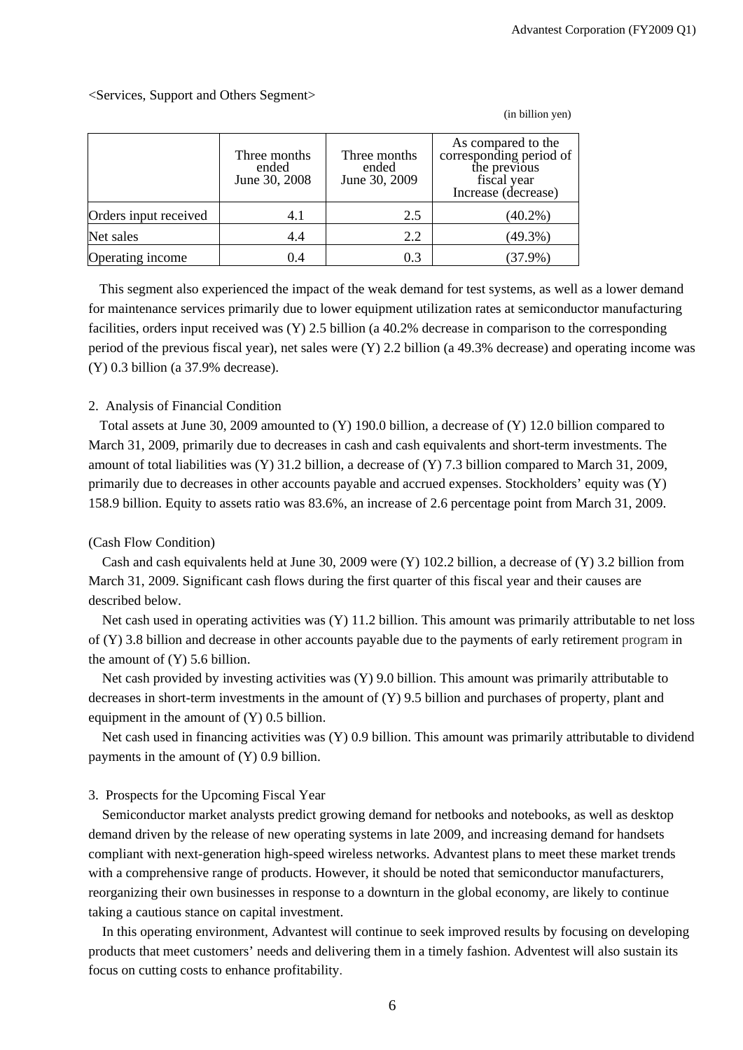(in billion yen)

|                       | Three months<br>ended<br>June 30, 2008 | Three months<br>ended<br>June 30, 2009 | As compared to the<br>corresponding period of<br>the previous<br>fiscal year<br>Increase (decrease) |
|-----------------------|----------------------------------------|----------------------------------------|-----------------------------------------------------------------------------------------------------|
| Orders input received | 4.1                                    | 2.5                                    | $(40.2\%)$                                                                                          |
| Net sales             | 4.4                                    | 2.2                                    | $(49.3\%)$                                                                                          |
| Operating income      | 0.4                                    | 0.3                                    | $(37.9\%)$                                                                                          |

<Services, Support and Others Segment>

This segment also experienced the impact of the weak demand for test systems, as well as a lower demand for maintenance services primarily due to lower equipment utilization rates at semiconductor manufacturing facilities, orders input received was (Y) 2.5 billion (a 40.2% decrease in comparison to the corresponding period of the previous fiscal year), net sales were (Y) 2.2 billion (a 49.3% decrease) and operating income was (Y) 0.3 billion (a 37.9% decrease).

#### 2. Analysis of Financial Condition

Total assets at June 30, 2009 amounted to (Y) 190.0 billion, a decrease of (Y) 12.0 billion compared to March 31, 2009, primarily due to decreases in cash and cash equivalents and short-term investments. The amount of total liabilities was (Y) 31.2 billion, a decrease of (Y) 7.3 billion compared to March 31, 2009, primarily due to decreases in other accounts payable and accrued expenses. Stockholders' equity was (Y) 158.9 billion. Equity to assets ratio was 83.6%, an increase of 2.6 percentage point from March 31, 2009.

#### (Cash Flow Condition)

Cash and cash equivalents held at June 30, 2009 were (Y) 102.2 billion, a decrease of (Y) 3.2 billion from March 31, 2009. Significant cash flows during the first quarter of this fiscal year and their causes are described below.

Net cash used in operating activities was (Y) 11.2 billion. This amount was primarily attributable to net loss of (Y) 3.8 billion and decrease in other accounts payable due to the payments of early retirement program in the amount of (Y) 5.6 billion.

Net cash provided by investing activities was (Y) 9.0 billion. This amount was primarily attributable to decreases in short-term investments in the amount of (Y) 9.5 billion and purchases of property, plant and equipment in the amount of (Y) 0.5 billion.

Net cash used in financing activities was (Y) 0.9 billion. This amount was primarily attributable to dividend payments in the amount of (Y) 0.9 billion.

# 3. Prospects for the Upcoming Fiscal Year

Semiconductor market analysts predict growing demand for netbooks and notebooks, as well as desktop demand driven by the release of new operating systems in late 2009, and increasing demand for handsets compliant with next-generation high-speed wireless networks. Advantest plans to meet these market trends with a comprehensive range of products. However, it should be noted that semiconductor manufacturers, reorganizing their own businesses in response to a downturn in the global economy, are likely to continue taking a cautious stance on capital investment.

In this operating environment, Advantest will continue to seek improved results by focusing on developing products that meet customers' needs and delivering them in a timely fashion. Adventest will also sustain its focus on cutting costs to enhance profitability.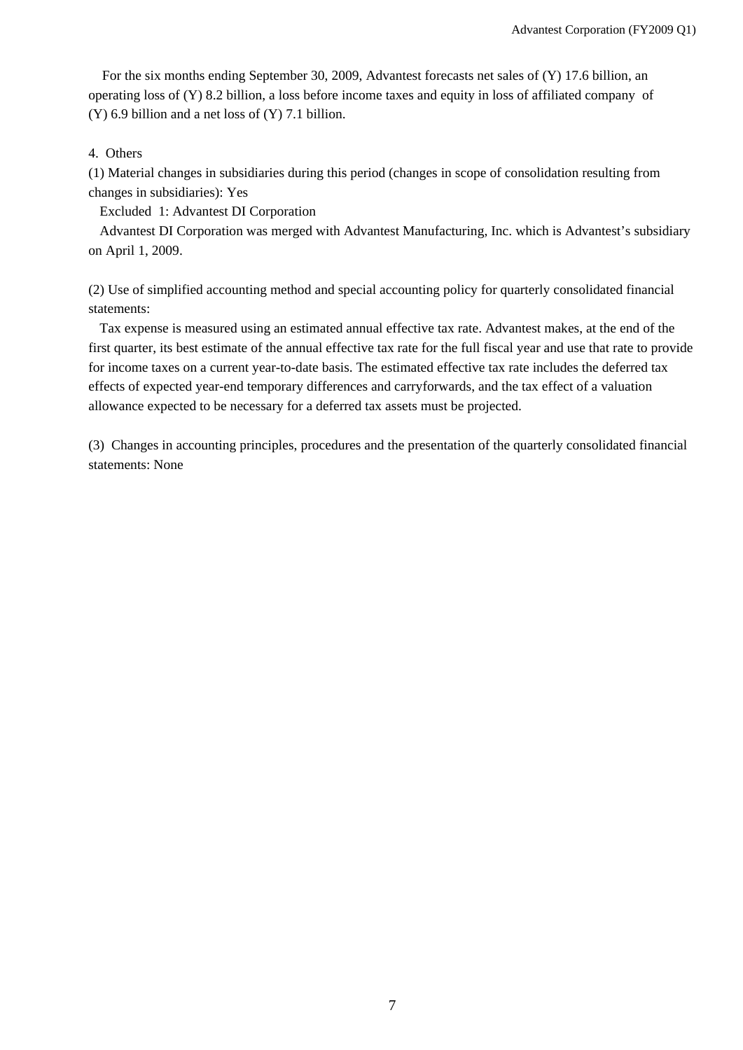For the six months ending September 30, 2009, Advantest forecasts net sales of (Y) 17.6 billion, an operating loss of (Y) 8.2 billion, a loss before income taxes and equity in loss of affiliated company of (Y) 6.9 billion and a net loss of (Y) 7.1 billion.

# 4. Others

(1) Material changes in subsidiaries during this period (changes in scope of consolidation resulting from changes in subsidiaries): Yes

Excluded 1: Advantest DI Corporation

Advantest DI Corporation was merged with Advantest Manufacturing, Inc. which is Advantest's subsidiary on April 1, 2009.

(2) Use of simplified accounting method and special accounting policy for quarterly consolidated financial statements:

Tax expense is measured using an estimated annual effective tax rate. Advantest makes, at the end of the first quarter, its best estimate of the annual effective tax rate for the full fiscal year and use that rate to provide for income taxes on a current year-to-date basis. The estimated effective tax rate includes the deferred tax effects of expected year-end temporary differences and carryforwards, and the tax effect of a valuation allowance expected to be necessary for a deferred tax assets must be projected.

(3) Changes in accounting principles, procedures and the presentation of the quarterly consolidated financial statements: None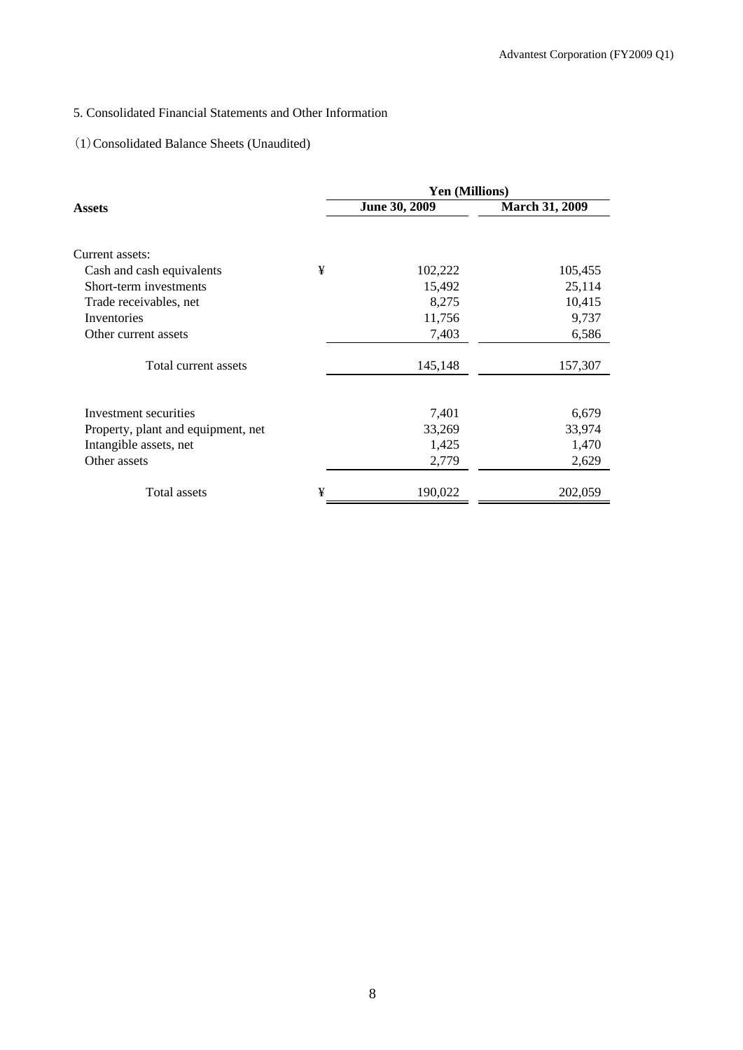# 5. Consolidated Financial Statements and Other Information

# (1)Consolidated Balance Sheets (Unaudited)

|                                    |   | Yen (Millions) |                       |
|------------------------------------|---|----------------|-----------------------|
| Assets                             |   | June 30, 2009  | <b>March 31, 2009</b> |
|                                    |   |                |                       |
| Current assets:                    |   |                |                       |
| Cash and cash equivalents          | ¥ | 102,222        | 105,455               |
| Short-term investments             |   | 15,492         | 25,114                |
| Trade receivables, net             |   | 8,275          | 10,415                |
| Inventories                        |   | 11,756         | 9,737                 |
| Other current assets               |   | 7,403          | 6,586                 |
| Total current assets               |   | 145,148        | 157,307               |
|                                    |   |                |                       |
| Investment securities              |   | 7,401          | 6,679                 |
| Property, plant and equipment, net |   | 33,269         | 33,974                |
| Intangible assets, net             |   | 1,425          | 1,470                 |
| Other assets                       |   | 2,779          | 2,629                 |
| Total assets                       | ¥ | 190,022        | 202,059               |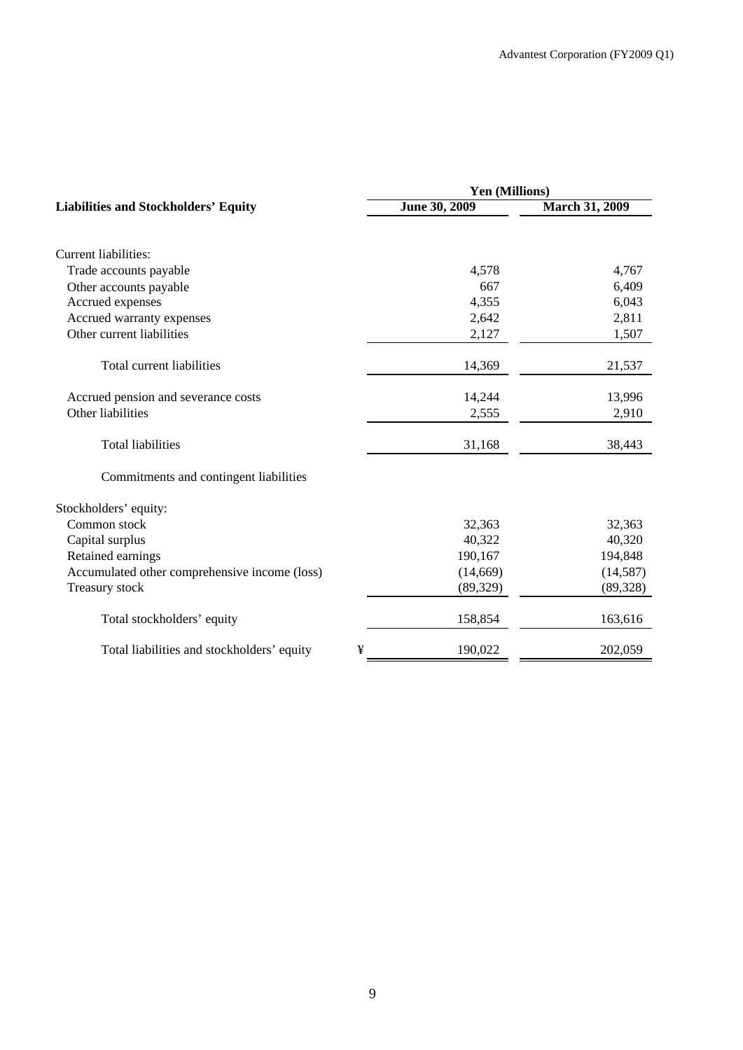| Yen (Millions) |                       |  |  |  |
|----------------|-----------------------|--|--|--|
| June 30, 2009  | <b>March 31, 2009</b> |  |  |  |
|                |                       |  |  |  |
| 4,578          | 4,767                 |  |  |  |
| 667            | 6,409                 |  |  |  |
| 4,355          | 6,043                 |  |  |  |
| 2,642          | 2,811                 |  |  |  |
| 2,127          | 1,507                 |  |  |  |
| 14,369         | 21,537                |  |  |  |
| 14,244         | 13,996                |  |  |  |
| 2,555          | 2,910                 |  |  |  |
| 31,168         | 38,443                |  |  |  |
|                |                       |  |  |  |
|                |                       |  |  |  |
| 32,363         | 32,363                |  |  |  |
| 40,322         | 40,320                |  |  |  |
| 190,167        | 194,848               |  |  |  |
| (14,669)       | (14, 587)             |  |  |  |
| (89, 329)      | (89, 328)             |  |  |  |
| 158,854        | 163,616               |  |  |  |
| ¥<br>190,022   | 202,059               |  |  |  |
|                |                       |  |  |  |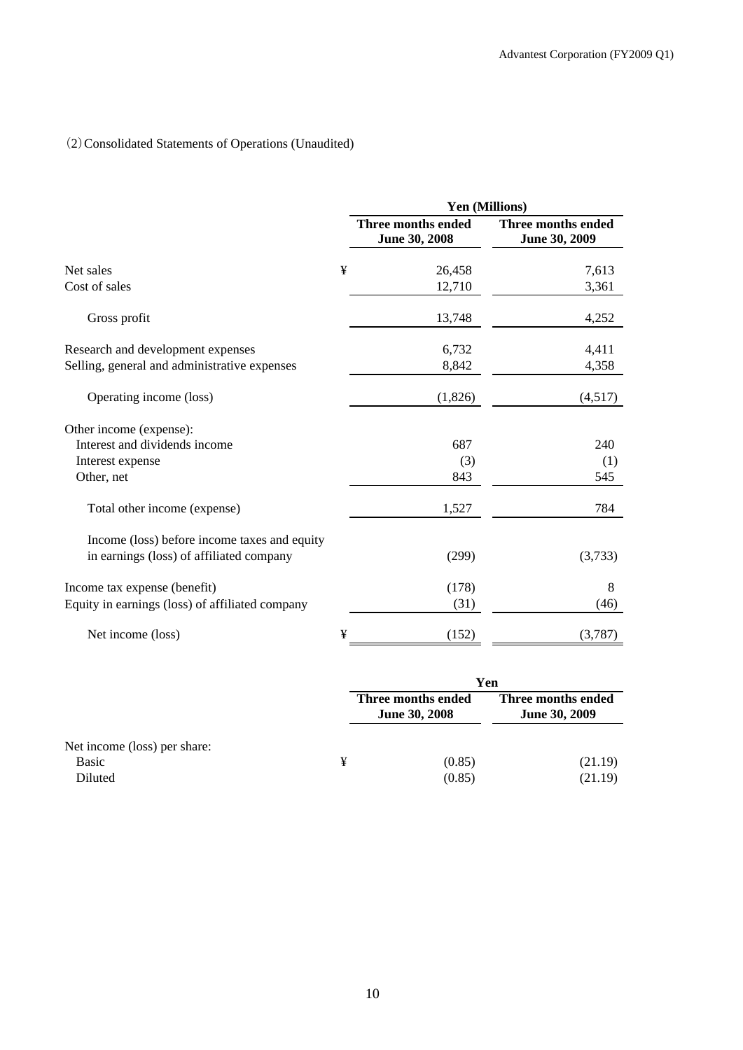# (2)Consolidated Statements of Operations (Unaudited)

|                                                                                          |   | Yen (Millions)                      |                                     |  |
|------------------------------------------------------------------------------------------|---|-------------------------------------|-------------------------------------|--|
|                                                                                          |   | Three months ended<br>June 30, 2008 | Three months ended<br>June 30, 2009 |  |
| Net sales                                                                                | ¥ | 26,458                              | 7,613                               |  |
| Cost of sales                                                                            |   | 12,710                              | 3,361                               |  |
| Gross profit                                                                             |   | 13,748                              | 4,252                               |  |
| Research and development expenses                                                        |   | 6,732                               | 4,411                               |  |
| Selling, general and administrative expenses                                             |   | 8,842                               | 4,358                               |  |
| Operating income (loss)                                                                  |   | (1,826)                             | (4,517)                             |  |
| Other income (expense):                                                                  |   |                                     |                                     |  |
| Interest and dividends income                                                            |   | 687                                 | 240                                 |  |
| Interest expense                                                                         |   | (3)                                 | (1)                                 |  |
| Other, net                                                                               |   | 843                                 | 545                                 |  |
| Total other income (expense)                                                             |   | 1,527                               | 784                                 |  |
| Income (loss) before income taxes and equity<br>in earnings (loss) of affiliated company |   | (299)                               | (3,733)                             |  |
|                                                                                          |   |                                     |                                     |  |
| Income tax expense (benefit)                                                             |   | (178)                               | 8                                   |  |
| Equity in earnings (loss) of affiliated company                                          |   | (31)                                | (46)                                |  |
| Net income (loss)                                                                        | ¥ | (152)                               | (3,787)                             |  |

|                              | Yen                                        |                                            |
|------------------------------|--------------------------------------------|--------------------------------------------|
|                              | Three months ended<br><b>June 30, 2008</b> | Three months ended<br><b>June 30, 2009</b> |
| Net income (loss) per share: |                                            |                                            |
| Basic                        | (0.85)                                     | (21.19)                                    |
| Diluted                      | (0.85)                                     | (21.19)                                    |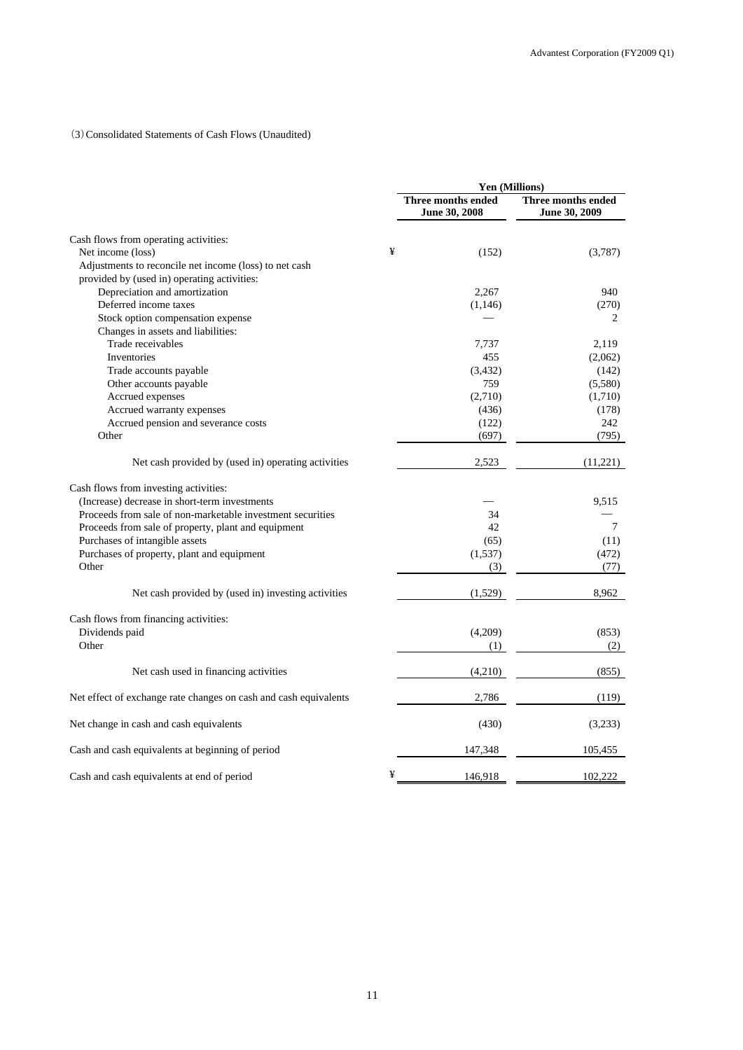### (3)Consolidated Statements of Cash Flows (Unaudited)

|                                                                  |   | Yen (Millions)                             |                                     |
|------------------------------------------------------------------|---|--------------------------------------------|-------------------------------------|
|                                                                  |   | <b>Three months ended</b><br>June 30, 2008 | Three months ended<br>June 30, 2009 |
| Cash flows from operating activities:                            |   |                                            |                                     |
| Net income (loss)                                                | ¥ | (152)                                      | (3,787)                             |
| Adjustments to reconcile net income (loss) to net cash           |   |                                            |                                     |
| provided by (used in) operating activities:                      |   |                                            |                                     |
| Depreciation and amortization                                    |   | 2,267                                      | 940                                 |
| Deferred income taxes                                            |   | (1, 146)                                   | (270)                               |
| Stock option compensation expense                                |   |                                            | 2                                   |
| Changes in assets and liabilities:                               |   |                                            |                                     |
| Trade receivables                                                |   | 7,737                                      | 2,119                               |
| Inventories                                                      |   | 455                                        | (2,062)                             |
| Trade accounts payable                                           |   | (3, 432)                                   | (142)                               |
| Other accounts payable                                           |   | 759                                        | (5,580)                             |
| Accrued expenses                                                 |   | (2,710)                                    | (1,710)                             |
| Accrued warranty expenses                                        |   | (436)                                      | (178)                               |
| Accrued pension and severance costs                              |   | (122)                                      | 242                                 |
| Other                                                            |   | (697)                                      | (795)                               |
| Net cash provided by (used in) operating activities              |   | 2,523                                      | (11,221)                            |
| Cash flows from investing activities:                            |   |                                            |                                     |
| (Increase) decrease in short-term investments                    |   |                                            | 9,515                               |
| Proceeds from sale of non-marketable investment securities       |   | 34                                         |                                     |
| Proceeds from sale of property, plant and equipment              |   | 42                                         | $\tau$                              |
| Purchases of intangible assets                                   |   | (65)                                       | (11)                                |
| Purchases of property, plant and equipment                       |   | (1,537)                                    | (472)                               |
| Other                                                            |   | (3)                                        | (77)                                |
| Net cash provided by (used in) investing activities              |   | (1,529)                                    | 8,962                               |
| Cash flows from financing activities:                            |   |                                            |                                     |
| Dividends paid                                                   |   | (4,209)                                    | (853)                               |
| Other                                                            |   | (1)                                        | (2)                                 |
| Net cash used in financing activities                            |   | (4,210)                                    | (855)                               |
| Net effect of exchange rate changes on cash and cash equivalents |   | 2,786                                      | (119)                               |
| Net change in cash and cash equivalents                          |   | (430)                                      | (3,233)                             |
| Cash and cash equivalents at beginning of period                 |   | 147,348                                    | 105,455                             |
| Cash and cash equivalents at end of period                       | ¥ | 146,918                                    | 102,222                             |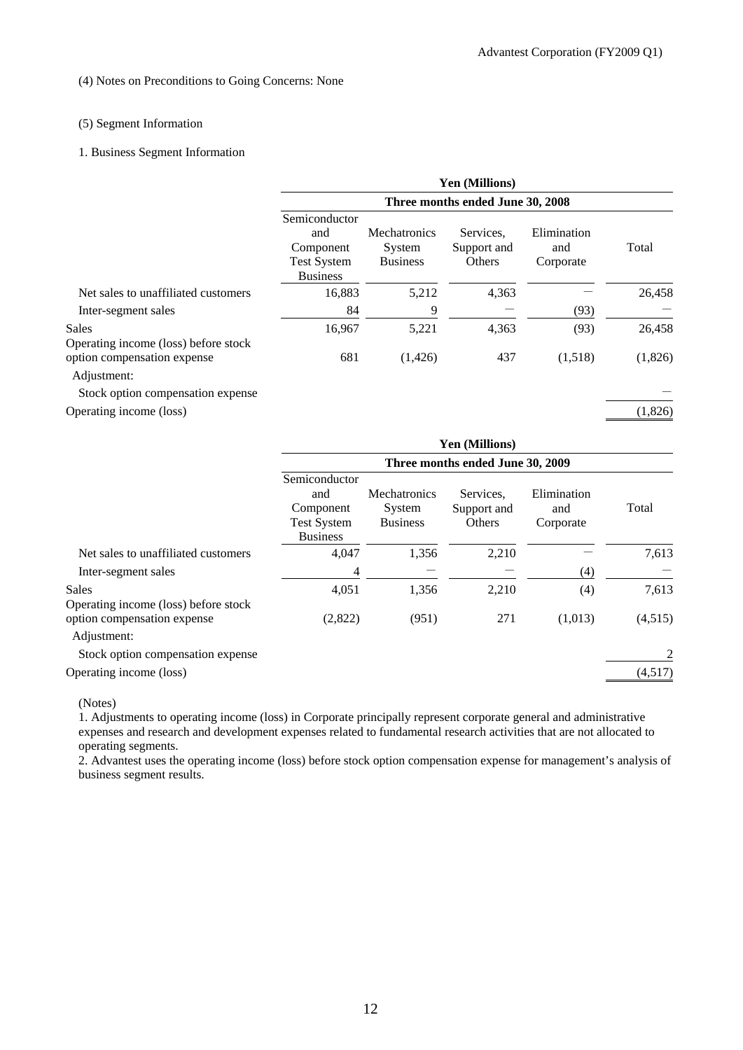#### (4) Notes on Preconditions to Going Concerns: None

### (5) Segment Information

#### 1. Business Segment Information

|                                               |                                                                            |                                                  | <b>Yen (Millions)</b>              |                                 |         |
|-----------------------------------------------|----------------------------------------------------------------------------|--------------------------------------------------|------------------------------------|---------------------------------|---------|
|                                               |                                                                            |                                                  | Three months ended June 30, 2008   |                                 |         |
|                                               | Semiconductor<br>and<br>Component<br><b>Test System</b><br><b>Business</b> | <b>Mechatronics</b><br>System<br><b>Business</b> | Services.<br>Support and<br>Others | Elimination<br>and<br>Corporate | Total   |
| Net sales to unaffiliated customers           | 16,883                                                                     | 5,212                                            | 4,363                              |                                 | 26,458  |
| Inter-segment sales                           | 84                                                                         | 9                                                |                                    | (93)                            |         |
| Sales<br>Operating income (loss) before stock | 16,967                                                                     | 5,221                                            | 4,363                              | (93)                            | 26,458  |
| option compensation expense<br>Adjustment:    | 681                                                                        | (1,426)                                          | 437                                | (1,518)                         | (1,826) |
| Stock option compensation expense             |                                                                            |                                                  |                                    |                                 |         |
| Operating income (loss)                       |                                                                            |                                                  |                                    |                                 | (1,826) |

|                                               |                                                                            |                                           | Yen (Millions)                     |                                 |         |
|-----------------------------------------------|----------------------------------------------------------------------------|-------------------------------------------|------------------------------------|---------------------------------|---------|
|                                               |                                                                            |                                           | Three months ended June 30, 2009   |                                 |         |
|                                               | Semiconductor<br>and<br>Component<br><b>Test System</b><br><b>Business</b> | Mechatronics<br>System<br><b>Business</b> | Services.<br>Support and<br>Others | Elimination<br>and<br>Corporate | Total   |
| Net sales to unaffiliated customers           | 4,047                                                                      | 1,356                                     | 2,210                              |                                 | 7,613   |
| Inter-segment sales                           | 4                                                                          |                                           |                                    | (4)                             |         |
| Sales<br>Operating income (loss) before stock | 4,051                                                                      | 1,356                                     | 2,210                              | (4)                             | 7,613   |
| option compensation expense<br>Adjustment:    | (2,822)                                                                    | (951)                                     | 271                                | (1,013)                         | (4,515) |
| Stock option compensation expense             |                                                                            |                                           |                                    |                                 | 2       |
| Operating income (loss)                       |                                                                            |                                           |                                    |                                 | (4,517) |

(Notes)

1. Adjustments to operating income (loss) in Corporate principally represent corporate general and administrative expenses and research and development expenses related to fundamental research activities that are not allocated to operating segments.

2. Advantest uses the operating income (loss) before stock option compensation expense for management's analysis of business segment results.